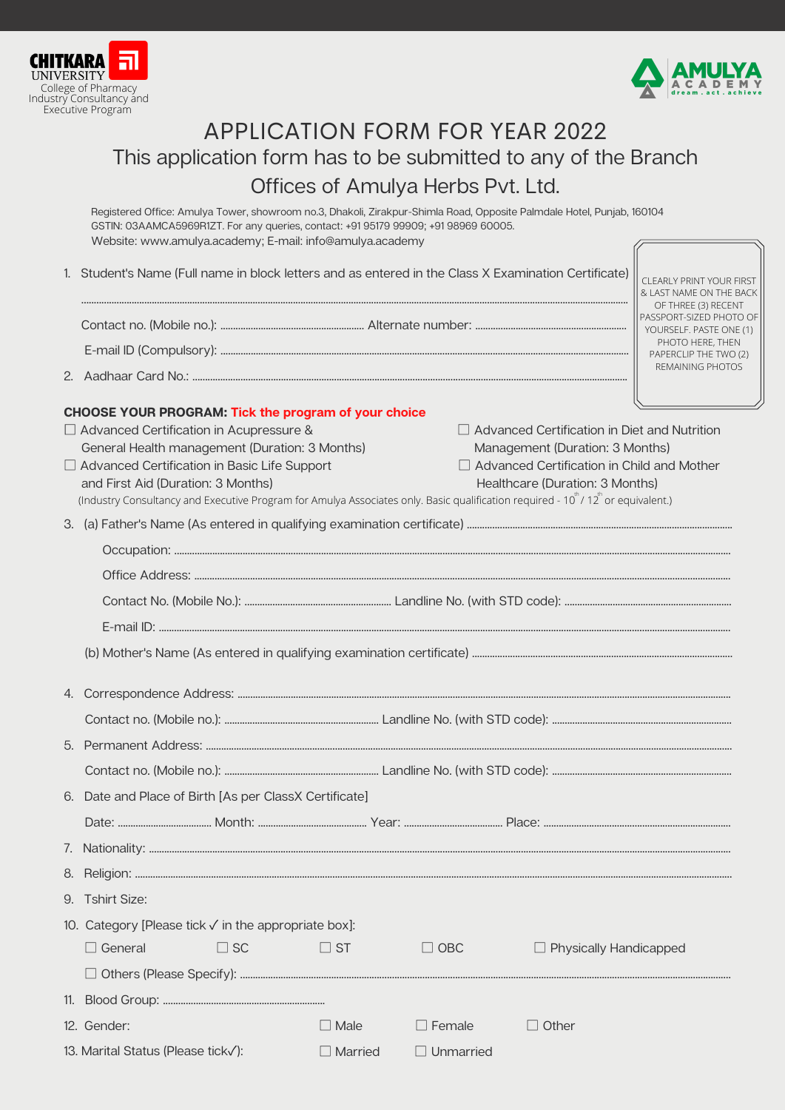



## APPLICATION FORM FOR YEAR 2022 This application form has to be submitted to any of the Branch Offices of Amulya Herbs Pvt. Ltd.

Registered Office: Amulya Tower, showroom no.3, Dhakoli, Zirakpur-Shimla Road, Opposite Palmdale Hotel, Punjab, 160104 GSTIN: 03AAMCA5969R1ZT. For any queries, contact: +91 95179 99909; +91 98969 60005. Website: www.amulya.academy; E-mail: info@amulya.academy

|  | 1. Student's Name (Full name in block letters and as entered in the Class X Examination Certificate)                                                      |                |                  |                                                                                      | CLEARLY PRINT YOUR FIRST<br>& LAST NAME ON THE BACK                       |  |
|--|-----------------------------------------------------------------------------------------------------------------------------------------------------------|----------------|------------------|--------------------------------------------------------------------------------------|---------------------------------------------------------------------------|--|
|  |                                                                                                                                                           |                |                  |                                                                                      | OF THREE (3) RECENT<br>PASSPORT-SIZED PHOTO OF<br>YOURSELF. PASTE ONE (1) |  |
|  |                                                                                                                                                           |                |                  |                                                                                      | PHOTO HERE, THEN<br>PAPERCLIP THE TWO (2)                                 |  |
|  |                                                                                                                                                           |                |                  |                                                                                      | REMAINING PHOTOS                                                          |  |
|  | CHOOSE YOUR PROGRAM: Tick the program of your choice                                                                                                      |                |                  |                                                                                      |                                                                           |  |
|  | □ Advanced Certification in Acupressure &                                                                                                                 |                |                  | $\Box$ Advanced Certification in Diet and Nutrition                                  |                                                                           |  |
|  | General Health management (Duration: 3 Months)<br>Advanced Certification in Basic Life Support                                                            |                |                  | Management (Duration: 3 Months)<br>$\Box$ Advanced Certification in Child and Mother |                                                                           |  |
|  | and First Aid (Duration: 3 Months)                                                                                                                        |                |                  | Healthcare (Duration: 3 Months)                                                      |                                                                           |  |
|  | (Industry Consultancy and Executive Program for Amulya Associates only. Basic qualification required - 10 <sup>th</sup> /12 <sup>th</sup> or equivalent.) |                |                  |                                                                                      |                                                                           |  |
|  |                                                                                                                                                           |                |                  |                                                                                      |                                                                           |  |
|  |                                                                                                                                                           |                |                  |                                                                                      |                                                                           |  |
|  |                                                                                                                                                           |                |                  |                                                                                      |                                                                           |  |
|  |                                                                                                                                                           |                |                  |                                                                                      |                                                                           |  |
|  |                                                                                                                                                           |                |                  |                                                                                      |                                                                           |  |
|  |                                                                                                                                                           |                |                  |                                                                                      |                                                                           |  |
|  |                                                                                                                                                           |                |                  |                                                                                      |                                                                           |  |
|  |                                                                                                                                                           |                |                  |                                                                                      |                                                                           |  |
|  |                                                                                                                                                           |                |                  |                                                                                      |                                                                           |  |
|  |                                                                                                                                                           |                |                  |                                                                                      |                                                                           |  |
|  | 6. Date and Place of Birth [As per ClassX Certificate]                                                                                                    |                |                  |                                                                                      |                                                                           |  |
|  |                                                                                                                                                           |                |                  |                                                                                      |                                                                           |  |
|  |                                                                                                                                                           |                |                  |                                                                                      |                                                                           |  |
|  |                                                                                                                                                           |                |                  |                                                                                      |                                                                           |  |
|  | 9. Tshirt Size:                                                                                                                                           |                |                  |                                                                                      |                                                                           |  |
|  | 10. Category [Please tick $\sqrt{}$ in the appropriate box]:                                                                                              |                |                  |                                                                                      |                                                                           |  |
|  | $\Box$ General<br>$\square$ SC                                                                                                                            | $\Box$ ST      | $\Box$ OBC       | $\Box$ Physically Handicapped                                                        |                                                                           |  |
|  |                                                                                                                                                           |                |                  |                                                                                      |                                                                           |  |
|  |                                                                                                                                                           |                |                  |                                                                                      |                                                                           |  |
|  | 12. Gender:                                                                                                                                               | $\Box$ Male    | $\Box$ Female    | $\Box$ Other                                                                         |                                                                           |  |
|  | 13. Marital Status (Please tickv):                                                                                                                        | $\Box$ Married | $\Box$ Unmarried |                                                                                      |                                                                           |  |